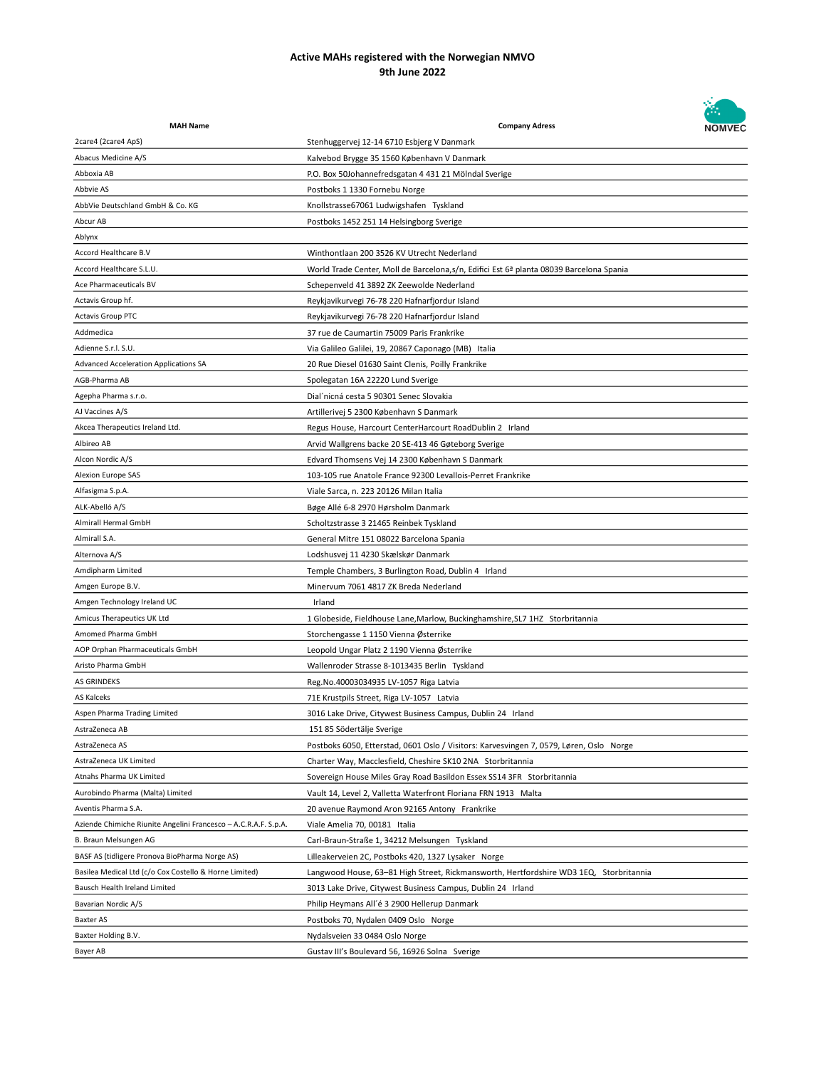

| <b>MAH Name</b>                                                 | <b>Company Adress</b>                                                                    | <b>NOMVEC</b> |
|-----------------------------------------------------------------|------------------------------------------------------------------------------------------|---------------|
| 2care4 (2care4 ApS)                                             | Stenhuggervej 12-14 6710 Esbjerg V Danmark                                               |               |
| Abacus Medicine A/S                                             | Kalvebod Brygge 35 1560 København V Danmark                                              |               |
| Abboxia AB                                                      | P.O. Box 50Johannefredsgatan 4 431 21 Mölndal Sverige                                    |               |
| Abbvie AS                                                       | Postboks 1 1330 Fornebu Norge                                                            |               |
| AbbVie Deutschland GmbH & Co. KG                                | Knollstrasse67061 Ludwigshafen Tyskland                                                  |               |
| Abcur AB                                                        | Postboks 1452 251 14 Helsingborg Sverige                                                 |               |
| Ablynx                                                          |                                                                                          |               |
| Accord Healthcare B.V                                           | Winthontlaan 200 3526 KV Utrecht Nederland                                               |               |
| Accord Healthcare S.L.U.                                        | World Trade Center, Moll de Barcelona, s/n, Edifici Est 6ª planta 08039 Barcelona Spania |               |
| Ace Pharmaceuticals BV                                          | Schepenveld 41 3892 ZK Zeewolde Nederland                                                |               |
| Actavis Group hf.                                               | Reykjavikurvegi 76-78 220 Hafnarfjordur Island                                           |               |
| <b>Actavis Group PTC</b>                                        | Reykjavikurvegi 76-78 220 Hafnarfjordur Island                                           |               |
| Addmedica                                                       | 37 rue de Caumartin 75009 Paris Frankrike                                                |               |
| Adienne S.r.l. S.U.                                             | Via Galileo Galilei, 19, 20867 Caponago (MB) Italia                                      |               |
| Advanced Acceleration Applications SA                           | 20 Rue Diesel 01630 Saint Clenis, Poilly Frankrike                                       |               |
| AGB-Pharma AB                                                   | Spolegatan 16A 22220 Lund Sverige                                                        |               |
| Agepha Pharma s.r.o.                                            | Dial'nicná cesta 5 90301 Senec Slovakia                                                  |               |
| AJ Vaccines A/S                                                 | Artillerivej 5 2300 København S Danmark                                                  |               |
| Akcea Therapeutics Ireland Ltd.                                 | Regus House, Harcourt CenterHarcourt RoadDublin 2 Irland                                 |               |
| Albireo AB                                                      | Arvid Wallgrens backe 20 SE-413 46 Gøteborg Sverige                                      |               |
| Alcon Nordic A/S                                                | Edvard Thomsens Vej 14 2300 København S Danmark                                          |               |
| Alexion Europe SAS                                              | 103-105 rue Anatole France 92300 Levallois-Perret Frankrike                              |               |
| Alfasigma S.p.A.                                                | Viale Sarca, n. 223 20126 Milan Italia                                                   |               |
| ALK-Abelló A/S                                                  | Bøge Allé 6-8 2970 Hørsholm Danmark                                                      |               |
| Almirall Hermal GmbH                                            | Scholtzstrasse 3 21465 Reinbek Tyskland                                                  |               |
| Almirall S.A.                                                   | General Mitre 151 08022 Barcelona Spania                                                 |               |
| Alternova A/S                                                   | Lodshusvej 11 4230 Skælskør Danmark                                                      |               |
| Amdipharm Limited                                               | Temple Chambers, 3 Burlington Road, Dublin 4 Irland                                      |               |
| Amgen Europe B.V.                                               | Minervum 7061 4817 ZK Breda Nederland                                                    |               |
| Amgen Technology Ireland UC                                     | Irland                                                                                   |               |
|                                                                 |                                                                                          |               |
| Amicus Therapeutics UK Ltd<br>Amomed Pharma GmbH                | 1 Globeside, Fieldhouse Lane, Marlow, Buckinghamshire, SL7 1HZ Storbritannia             |               |
|                                                                 | Storchengasse 1 1150 Vienna Østerrike                                                    |               |
| AOP Orphan Pharmaceuticals GmbH<br>Aristo Pharma GmbH           | Leopold Ungar Platz 2 1190 Vienna Østerrike                                              |               |
|                                                                 | Wallenroder Strasse 8-1013435 Berlin Tyskland                                            |               |
| <b>AS GRINDEKS</b>                                              | Reg.No.40003034935 LV-1057 Riga Latvia                                                   |               |
| AS Kalceks                                                      | 71E Krustpils Street, Riga LV-1057 Latvia                                                |               |
| Aspen Pharma Trading Limited                                    | 3016 Lake Drive, Citywest Business Campus, Dublin 24 Irland                              |               |
| AstraZeneca AB                                                  | 151 85 Södertälje Sverige                                                                |               |
| AstraZeneca AS                                                  | Postboks 6050, Etterstad, 0601 Oslo / Visitors: Karvesvingen 7, 0579, Løren, Oslo Norge  |               |
| AstraZeneca UK Limited                                          | Charter Way, Macclesfield, Cheshire SK10 2NA Storbritannia                               |               |
| Atnahs Pharma UK Limited                                        | Sovereign House Miles Gray Road Basildon Essex SS14 3FR Storbritannia                    |               |
| Aurobindo Pharma (Malta) Limited                                | Vault 14, Level 2, Valletta Waterfront Floriana FRN 1913 Malta                           |               |
| Aventis Pharma S.A.                                             | 20 avenue Raymond Aron 92165 Antony Frankrike                                            |               |
| Aziende Chimiche Riunite Angelini Francesco - A.C.R.A.F. S.p.A. | Viale Amelia 70, 00181 Italia                                                            |               |
| B. Braun Melsungen AG                                           | Carl-Braun-Straße 1, 34212 Melsungen Tyskland                                            |               |
| BASF AS (tidligere Pronova BioPharma Norge AS)                  | Lilleakerveien 2C, Postboks 420, 1327 Lysaker Norge                                      |               |
| Basilea Medical Ltd (c/o Cox Costello & Horne Limited)          | Langwood House, 63-81 High Street, Rickmansworth, Hertfordshire WD3 1EQ, Storbritannia   |               |
| Bausch Health Ireland Limited                                   | 3013 Lake Drive, Citywest Business Campus, Dublin 24 Irland                              |               |
| Bavarian Nordic A/S                                             | Philip Heymans All'é 3 2900 Hellerup Danmark                                             |               |
| Baxter AS                                                       | Postboks 70, Nydalen 0409 Oslo Norge                                                     |               |
| Baxter Holding B.V.                                             | Nydalsveien 33 0484 Oslo Norge                                                           |               |
| Bayer AB                                                        | Gustav III's Boulevard 56, 16926 Solna Sverige                                           |               |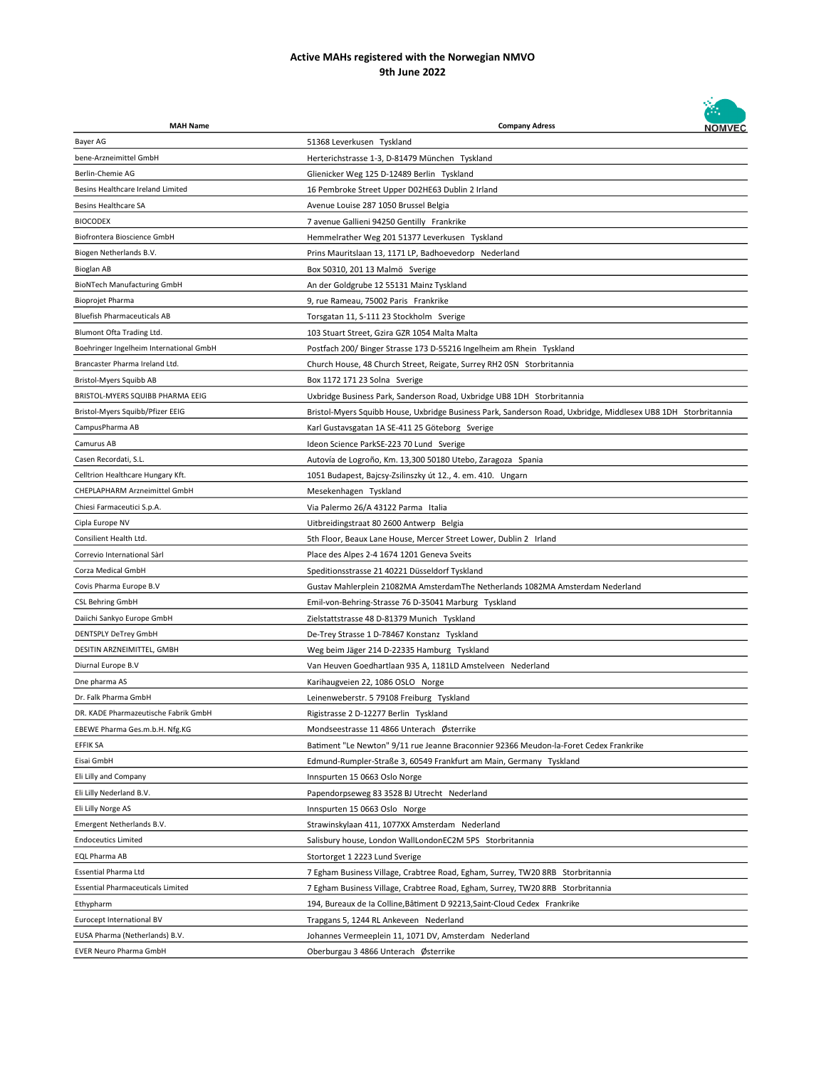

| <b>MAH Name</b>                          | <b>Company Adress</b>                                                                                         | <b>NOMVEC</b> |
|------------------------------------------|---------------------------------------------------------------------------------------------------------------|---------------|
| Bayer AG                                 | 51368 Leverkusen Tyskland                                                                                     |               |
| bene-Arzneimittel GmbH                   | Herterichstrasse 1-3, D-81479 München Tyskland                                                                |               |
| Berlin-Chemie AG                         | Glienicker Weg 125 D-12489 Berlin Tyskland                                                                    |               |
| Besins Healthcare Ireland Limited        | 16 Pembroke Street Upper D02HE63 Dublin 2 Irland                                                              |               |
| <b>Besins Healthcare SA</b>              | Avenue Louise 287 1050 Brussel Belgia                                                                         |               |
| <b>BIOCODEX</b>                          | 7 avenue Gallieni 94250 Gentilly Frankrike                                                                    |               |
| Biofrontera Bioscience GmbH              | Hemmelrather Weg 201 51377 Leverkusen Tyskland                                                                |               |
| Biogen Netherlands B.V.                  | Prins Mauritslaan 13, 1171 LP, Badhoevedorp Nederland                                                         |               |
| Bioglan AB                               | Box 50310, 201 13 Malmö Sverige                                                                               |               |
| <b>BioNTech Manufacturing GmbH</b>       | An der Goldgrube 12 55131 Mainz Tyskland                                                                      |               |
| <b>Bioprojet Pharma</b>                  | 9, rue Rameau, 75002 Paris Frankrike                                                                          |               |
| <b>Bluefish Pharmaceuticals AB</b>       | Torsgatan 11, S-111 23 Stockholm Sverige                                                                      |               |
| Blumont Ofta Trading Ltd.                | 103 Stuart Street, Gzira GZR 1054 Malta Malta                                                                 |               |
| Boehringer Ingelheim International GmbH  | Postfach 200/ Binger Strasse 173 D-55216 Ingelheim am Rhein Tyskland                                          |               |
| Brancaster Pharma Ireland Ltd.           | Church House, 48 Church Street, Reigate, Surrey RH2 OSN Storbritannia                                         |               |
| Bristol-Myers Squibb AB                  | Box 1172 171 23 Solna Sverige                                                                                 |               |
| BRISTOL-MYERS SQUIBB PHARMA EEIG         | Uxbridge Business Park, Sanderson Road, Uxbridge UB8 1DH Storbritannia                                        |               |
| Bristol-Myers Squibb/Pfizer EEIG         | Bristol-Myers Squibb House, Uxbridge Business Park, Sanderson Road, Uxbridge, Middlesex UB8 1DH Storbritannia |               |
| CampusPharma AB                          | Karl Gustavsgatan 1A SE-411 25 Göteborg Sverige                                                               |               |
| Camurus AB                               | Ideon Science ParkSE-223 70 Lund Sverige                                                                      |               |
| Casen Recordati, S.L.                    | Autovía de Logroño, Km. 13,300 50180 Utebo, Zaragoza Spania                                                   |               |
| Celltrion Healthcare Hungary Kft.        | 1051 Budapest, Bajcsy-Zsilinszky út 12., 4. em. 410. Ungarn                                                   |               |
| CHEPLAPHARM Arzneimittel GmbH            | Mesekenhagen Tyskland                                                                                         |               |
| Chiesi Farmaceutici S.p.A.               | Via Palermo 26/A 43122 Parma Italia                                                                           |               |
| Cipla Europe NV                          | Uitbreidingstraat 80 2600 Antwerp Belgia                                                                      |               |
| Consilient Health Ltd.                   | 5th Floor, Beaux Lane House, Mercer Street Lower, Dublin 2 Irland                                             |               |
| Correvio International Sàrl              | Place des Alpes 2-4 1674 1201 Geneva Sveits                                                                   |               |
| Corza Medical GmbH                       | Speditionsstrasse 21 40221 Düsseldorf Tyskland                                                                |               |
| Covis Pharma Europe B.V                  | Gustav Mahlerplein 21082MA AmsterdamThe Netherlands 1082MA Amsterdam Nederland                                |               |
| <b>CSL Behring GmbH</b>                  | Emil-von-Behring-Strasse 76 D-35041 Marburg Tyskland                                                          |               |
| Daiichi Sankyo Europe GmbH               | Zielstattstrasse 48 D-81379 Munich Tyskland                                                                   |               |
| DENTSPLY DeTrey GmbH                     | De-Trey Strasse 1 D-78467 Konstanz Tyskland                                                                   |               |
| DESITIN ARZNEIMITTEL, GMBH               | Weg beim Jäger 214 D-22335 Hamburg Tyskland                                                                   |               |
| Diurnal Europe B.V                       | Van Heuven Goedhartlaan 935 A, 1181LD Amstelveen Nederland                                                    |               |
| Dne pharma AS                            | Karihaugveien 22, 1086 OSLO Norge                                                                             |               |
| Dr. Falk Pharma GmbH                     | Leinenweberstr. 5 79108 Freiburg Tyskland                                                                     |               |
| DR. KADE Pharmazeutische Fabrik GmbH     | Rigistrasse 2 D-12277 Berlin Tyskland                                                                         |               |
| EBEWE Pharma Ges.m.b.H. Nfg.KG           | Mondseestrasse 11 4866 Unterach Østerrike                                                                     |               |
| <b>EFFIK SA</b>                          | Batiment "Le Newton" 9/11 rue Jeanne Braconnier 92366 Meudon-la-Foret Cedex Frankrike                         |               |
| Eisai GmbH                               | Edmund-Rumpler-Straße 3, 60549 Frankfurt am Main, Germany Tyskland                                            |               |
| Eli Lilly and Company                    | Innspurten 15 0663 Oslo Norge                                                                                 |               |
| Eli Lilly Nederland B.V.                 | Papendorpseweg 83 3528 BJ Utrecht Nederland                                                                   |               |
| Eli Lilly Norge AS                       | Innspurten 15 0663 Oslo Norge                                                                                 |               |
| Emergent Netherlands B.V.                | Strawinskylaan 411, 1077XX Amsterdam Nederland                                                                |               |
| <b>Endoceutics Limited</b>               | Salisbury house, London WallLondonEC2M 5PS Storbritannia                                                      |               |
| EQL Pharma AB                            | Stortorget 1 2223 Lund Sverige                                                                                |               |
| Essential Pharma Ltd                     | 7 Egham Business Village, Crabtree Road, Egham, Surrey, TW20 8RB Storbritannia                                |               |
| <b>Essential Pharmaceuticals Limited</b> | 7 Egham Business Village, Crabtree Road, Egham, Surrey, TW20 8RB Storbritannia                                |               |
| Ethypharm                                | 194, Bureaux de la Colline, Bâtiment D 92213, Saint-Cloud Cedex Frankrike                                     |               |
| Eurocept International BV                | Trapgans 5, 1244 RL Ankeveen Nederland                                                                        |               |
| EUSA Pharma (Netherlands) B.V.           | Johannes Vermeeplein 11, 1071 DV, Amsterdam Nederland                                                         |               |
| <b>EVER Neuro Pharma GmbH</b>            | Oberburgau 3 4866 Unterach Østerrike                                                                          |               |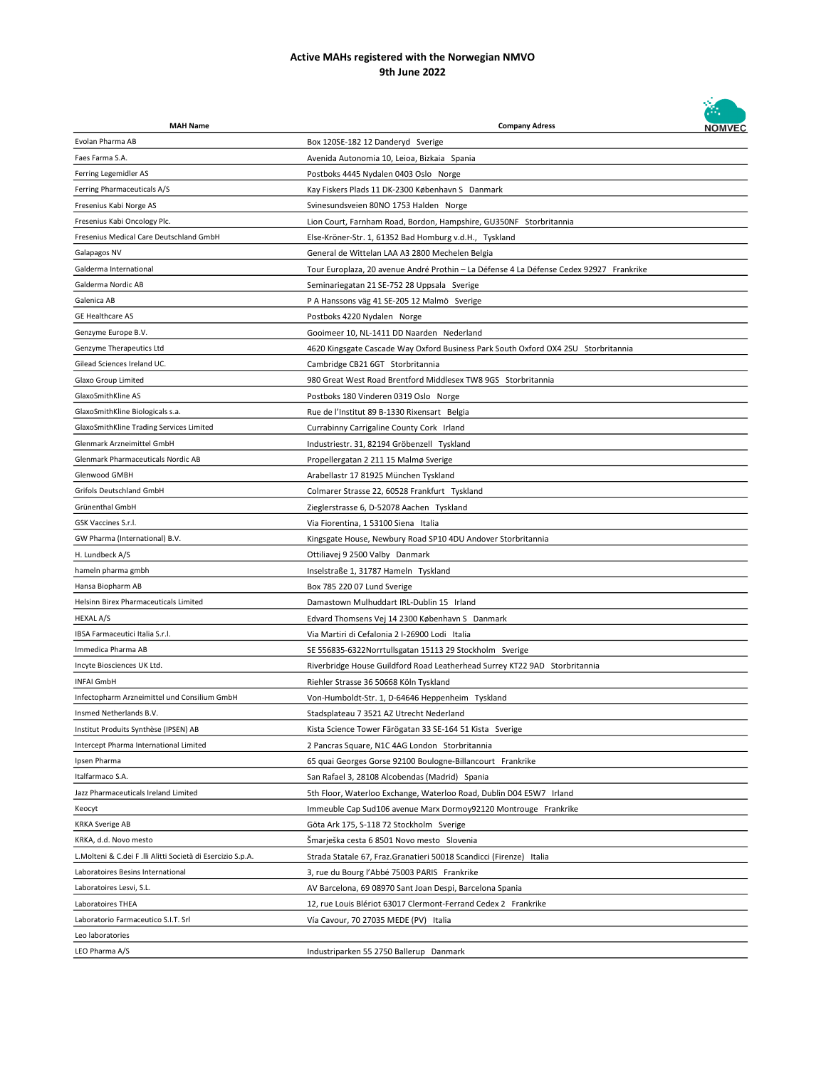

| <b>MAH Name</b>                                              | <b>Company Adress</b>                                                                   | <b>NOMVEC</b> |
|--------------------------------------------------------------|-----------------------------------------------------------------------------------------|---------------|
| Evolan Pharma AB                                             | Box 120SE-182 12 Danderyd Sverige                                                       |               |
| Faes Farma S.A.                                              | Avenida Autonomia 10, Leioa, Bizkaia Spania                                             |               |
| Ferring Legemidler AS                                        | Postboks 4445 Nydalen 0403 Oslo Norge                                                   |               |
| Ferring Pharmaceuticals A/S                                  | Kay Fiskers Plads 11 DK-2300 København S Danmark                                        |               |
| Fresenius Kabi Norge AS                                      | Svinesundsveien 80NO 1753 Halden Norge                                                  |               |
| Fresenius Kabi Oncology Plc.                                 | Lion Court, Farnham Road, Bordon, Hampshire, GU350NF Storbritannia                      |               |
| Fresenius Medical Care Deutschland GmbH                      | Else-Kröner-Str. 1, 61352 Bad Homburg v.d.H., Tyskland                                  |               |
| Galapagos NV                                                 | General de Wittelan LAA A3 2800 Mechelen Belgia                                         |               |
| Galderma International                                       | Tour Europlaza, 20 avenue André Prothin - La Défense 4 La Défense Cedex 92927 Frankrike |               |
| Galderma Nordic AB                                           | Seminariegatan 21 SE-752 28 Uppsala Sverige                                             |               |
| Galenica AB                                                  | P A Hanssons väg 41 SE-205 12 Malmö Sverige                                             |               |
| <b>GE Healthcare AS</b>                                      | Postboks 4220 Nydalen Norge                                                             |               |
| Genzyme Europe B.V.                                          | Gooimeer 10, NL-1411 DD Naarden Nederland                                               |               |
| Genzyme Therapeutics Ltd                                     | 4620 Kingsgate Cascade Way Oxford Business Park South Oxford OX4 2SU Storbritannia      |               |
| Gilead Sciences Ireland UC.                                  | Cambridge CB21 6GT Storbritannia                                                        |               |
| Glaxo Group Limited                                          | 980 Great West Road Brentford Middlesex TW8 9GS Storbritannia                           |               |
| GlaxoSmithKline AS                                           | Postboks 180 Vinderen 0319 Oslo Norge                                                   |               |
| GlaxoSmithKline Biologicals s.a.                             | Rue de l'Institut 89 B-1330 Rixensart Belgia                                            |               |
| GlaxoSmithKline Trading Services Limited                     | Currabinny Carrigaline County Cork Irland                                               |               |
| Glenmark Arzneimittel GmbH                                   | Industriestr. 31, 82194 Gröbenzell Tyskland                                             |               |
| Glenmark Pharmaceuticals Nordic AB                           | Propellergatan 2 211 15 Malmø Sverige                                                   |               |
| Glenwood GMBH                                                | Arabellastr 17 81925 München Tyskland                                                   |               |
| Grifols Deutschland GmbH                                     | Colmarer Strasse 22, 60528 Frankfurt Tyskland                                           |               |
| Grünenthal GmbH                                              | Zieglerstrasse 6, D-52078 Aachen Tyskland                                               |               |
| GSK Vaccines S.r.l.                                          | Via Fiorentina, 1 53100 Siena Italia                                                    |               |
| GW Pharma (International) B.V.                               |                                                                                         |               |
| H. Lundbeck A/S                                              | Kingsgate House, Newbury Road SP10 4DU Andover Storbritannia                            |               |
| hameln pharma gmbh                                           | Ottiliavej 9 2500 Valby Danmark                                                         |               |
|                                                              | Inselstraße 1, 31787 Hameln Tyskland                                                    |               |
| Hansa Biopharm AB                                            | Box 785 220 07 Lund Sverige                                                             |               |
| Helsinn Birex Pharmaceuticals Limited                        | Damastown Mulhuddart IRL-Dublin 15 Irland                                               |               |
| HEXAL A/S                                                    | Edvard Thomsens Vej 14 2300 København S Danmark                                         |               |
| IBSA Farmaceutici Italia S.r.l.                              | Via Martiri di Cefalonia 2 I-26900 Lodi Italia                                          |               |
| Immedica Pharma AB                                           | SE 556835-6322Norrtullsgatan 15113 29 Stockholm Sverige                                 |               |
| Incyte Biosciences UK Ltd.                                   | Riverbridge House Guildford Road Leatherhead Surrey KT22 9AD Storbritannia              |               |
| INFAI GmbH                                                   | Riehler Strasse 36 50668 Köln Tyskland                                                  |               |
| Infectopharm Arzneimittel und Consilium GmbH                 | Von-Humboldt-Str. 1, D-64646 Heppenheim Tyskland                                        |               |
| Insmed Netherlands B.V.                                      | Stadsplateau 7 3521 AZ Utrecht Nederland                                                |               |
| Institut Produits Synthèse (IPSEN) AB                        | Kista Science Tower Färögatan 33 SE-164 51 Kista Sverige                                |               |
| Intercept Pharma International Limited                       | 2 Pancras Square, N1C 4AG London Storbritannia                                          |               |
| Ipsen Pharma                                                 | 65 quai Georges Gorse 92100 Boulogne-Billancourt Frankrike                              |               |
| Italfarmaco S.A.                                             | San Rafael 3, 28108 Alcobendas (Madrid) Spania                                          |               |
| Jazz Pharmaceuticals Ireland Limited                         | 5th Floor, Waterloo Exchange, Waterloo Road, Dublin D04 E5W7 Irland                     |               |
| Keocyt                                                       | Immeuble Cap Sud106 avenue Marx Dormoy92120 Montrouge Frankrike                         |               |
| <b>KRKA Sverige AB</b>                                       | Göta Ark 175, S-118 72 Stockholm Sverige                                                |               |
| KRKA, d.d. Novo mesto                                        | Šmarješka cesta 6 8501 Novo mesto Slovenia                                              |               |
| L. Molteni & C.dei F .lli Alitti Società di Esercizio S.p.A. | Strada Statale 67, Fraz. Granatieri 50018 Scandicci (Firenze) Italia                    |               |
| Laboratoires Besins International                            | 3, rue du Bourg l'Abbé 75003 PARIS Frankrike                                            |               |
| Laboratoires Lesvi, S.L.                                     | AV Barcelona, 69 08970 Sant Joan Despi, Barcelona Spania                                |               |
| Laboratoires THEA                                            | 12, rue Louis Blériot 63017 Clermont-Ferrand Cedex 2 Frankrike                          |               |
| Laboratorio Farmaceutico S.I.T. Srl                          | Vía Cavour, 70 27035 MEDE (PV) Italia                                                   |               |
| Leo laboratories                                             |                                                                                         |               |
| LEO Pharma A/S                                               | Industriparken 55 2750 Ballerup Danmark                                                 |               |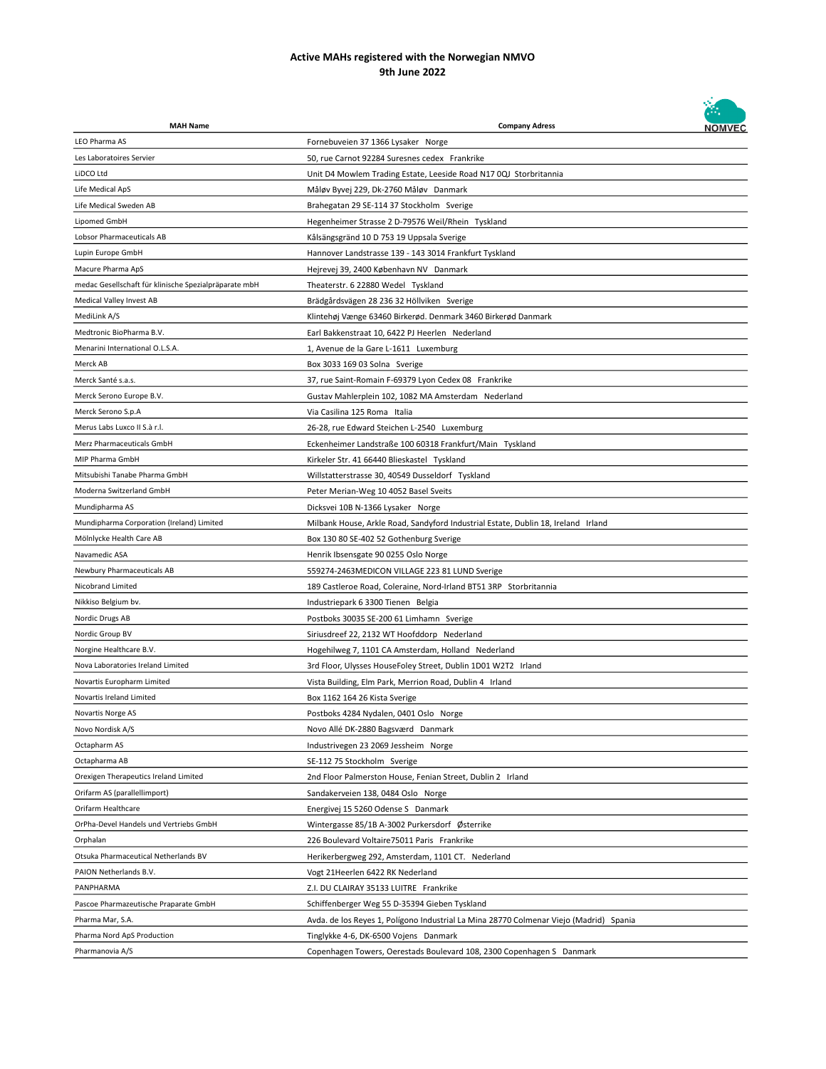

| <b>MAH Name</b>                                       | <b>Company Adress</b>                                                                  | <b>NOMVEC</b> |
|-------------------------------------------------------|----------------------------------------------------------------------------------------|---------------|
| LEO Pharma AS                                         | Fornebuveien 37 1366 Lysaker Norge                                                     |               |
| Les Laboratoires Servier                              | 50, rue Carnot 92284 Suresnes cedex Frankrike                                          |               |
| LiDCO Ltd                                             | Unit D4 Mowlem Trading Estate, Leeside Road N17 0QJ Storbritannia                      |               |
| Life Medical ApS                                      | Måløv Byvej 229, Dk-2760 Måløv Danmark                                                 |               |
| Life Medical Sweden AB                                | Brahegatan 29 SE-114 37 Stockholm Sverige                                              |               |
| Lipomed GmbH                                          | Hegenheimer Strasse 2 D-79576 Weil/Rhein Tyskland                                      |               |
| Lobsor Pharmaceuticals AB                             | Kålsängsgränd 10 D 753 19 Uppsala Sverige                                              |               |
| Lupin Europe GmbH                                     | Hannover Landstrasse 139 - 143 3014 Frankfurt Tyskland                                 |               |
| Macure Pharma ApS                                     | Hejrevej 39, 2400 København NV Danmark                                                 |               |
| medac Gesellschaft für klinische Spezialpräparate mbH | Theaterstr. 6 22880 Wedel Tyskland                                                     |               |
| Medical Valley Invest AB                              | Brädgårdsvägen 28 236 32 Höllviken Sverige                                             |               |
| MediLink A/S                                          | Klintehøj Vænge 63460 Birkerød. Denmark 3460 Birkerød Danmark                          |               |
| Medtronic BioPharma B.V.                              | Earl Bakkenstraat 10, 6422 PJ Heerlen Nederland                                        |               |
| Menarini International O.L.S.A.                       | 1, Avenue de la Gare L-1611 Luxemburg                                                  |               |
| Merck AB                                              | Box 3033 169 03 Solna Sverige                                                          |               |
| Merck Santé s.a.s.                                    | 37, rue Saint-Romain F-69379 Lyon Cedex 08 Frankrike                                   |               |
| Merck Serono Europe B.V.                              | Gustav Mahlerplein 102, 1082 MA Amsterdam Nederland                                    |               |
| Merck Serono S.p.A                                    | Via Casilina 125 Roma Italia                                                           |               |
| Merus Labs Luxco II S.à r.l.                          | 26-28, rue Edward Steichen L-2540 Luxemburg                                            |               |
| Merz Pharmaceuticals GmbH                             | Eckenheimer Landstraße 100 60318 Frankfurt/Main Tyskland                               |               |
| MIP Pharma GmbH                                       | Kirkeler Str. 41 66440 Blieskastel Tyskland                                            |               |
| Mitsubishi Tanabe Pharma GmbH                         | Willstatterstrasse 30, 40549 Dusseldorf Tyskland                                       |               |
| Moderna Switzerland GmbH                              | Peter Merian-Weg 10 4052 Basel Sveits                                                  |               |
| Mundipharma AS                                        | Dicksvei 10B N-1366 Lysaker Norge                                                      |               |
| Mundipharma Corporation (Ireland) Limited             | Milbank House, Arkle Road, Sandyford Industrial Estate, Dublin 18, Ireland Irland      |               |
| Mölnlycke Health Care AB                              | Box 130 80 SE-402 52 Gothenburg Sverige                                                |               |
| Navamedic ASA                                         | Henrik Ibsensgate 90 0255 Oslo Norge                                                   |               |
| Newbury Pharmaceuticals AB                            | 559274-2463MEDICON VILLAGE 223 81 LUND Sverige                                         |               |
| Nicobrand Limited                                     | 189 Castleroe Road, Coleraine, Nord-Irland BT51 3RP Storbritannia                      |               |
| Nikkiso Belgium bv.                                   | Industriepark 6 3300 Tienen Belgia                                                     |               |
| Nordic Drugs AB                                       | Postboks 30035 SE-200 61 Limhamn Sverige                                               |               |
| Nordic Group BV                                       | Siriusdreef 22, 2132 WT Hoofddorp Nederland                                            |               |
| Norgine Healthcare B.V.                               | Hogehilweg 7, 1101 CA Amsterdam, Holland Nederland                                     |               |
| Nova Laboratories Ireland Limited                     | 3rd Floor, Ulysses HouseFoley Street, Dublin 1D01 W2T2 Irland                          |               |
| Novartis Europharm Limited                            | Vista Building, Elm Park, Merrion Road, Dublin 4 Irland                                |               |
| Novartis Ireland Limited                              | Box 1162 164 26 Kista Sverige                                                          |               |
| Novartis Norge AS                                     | Postboks 4284 Nydalen, 0401 Oslo Norge                                                 |               |
| Novo Nordisk A/S                                      | Novo Allé DK-2880 Bagsværd Danmark                                                     |               |
| Octapharm AS                                          | Industrivegen 23 2069 Jessheim Norge                                                   |               |
| Octapharma AB                                         | SE-112 75 Stockholm Sverige                                                            |               |
| Orexigen Therapeutics Ireland Limited                 | 2nd Floor Palmerston House, Fenian Street, Dublin 2 Irland                             |               |
| Orifarm AS (parallellimport)                          | Sandakerveien 138, 0484 Oslo Norge                                                     |               |
| Orifarm Healthcare                                    | Energivej 15 5260 Odense S Danmark                                                     |               |
| OrPha-Devel Handels und Vertriebs GmbH                | Wintergasse 85/1B A-3002 Purkersdorf Østerrike                                         |               |
| Orphalan                                              | 226 Boulevard Voltaire75011 Paris Frankrike                                            |               |
| Otsuka Pharmaceutical Netherlands BV                  | Herikerbergweg 292, Amsterdam, 1101 CT. Nederland                                      |               |
| PAION Netherlands B.V.                                | Vogt 21Heerlen 6422 RK Nederland                                                       |               |
| PANPHARMA                                             | Z.I. DU CLAIRAY 35133 LUITRE Frankrike                                                 |               |
| Pascoe Pharmazeutische Praparate GmbH                 | Schiffenberger Weg 55 D-35394 Gieben Tyskland                                          |               |
| Pharma Mar, S.A.                                      | Avda. de los Reyes 1, Polígono Industrial La Mina 28770 Colmenar Viejo (Madrid) Spania |               |
| Pharma Nord ApS Production                            | Tinglykke 4-6, DK-6500 Vojens Danmark                                                  |               |
| Pharmanovia A/S                                       | Copenhagen Towers, Oerestads Boulevard 108, 2300 Copenhagen S Danmark                  |               |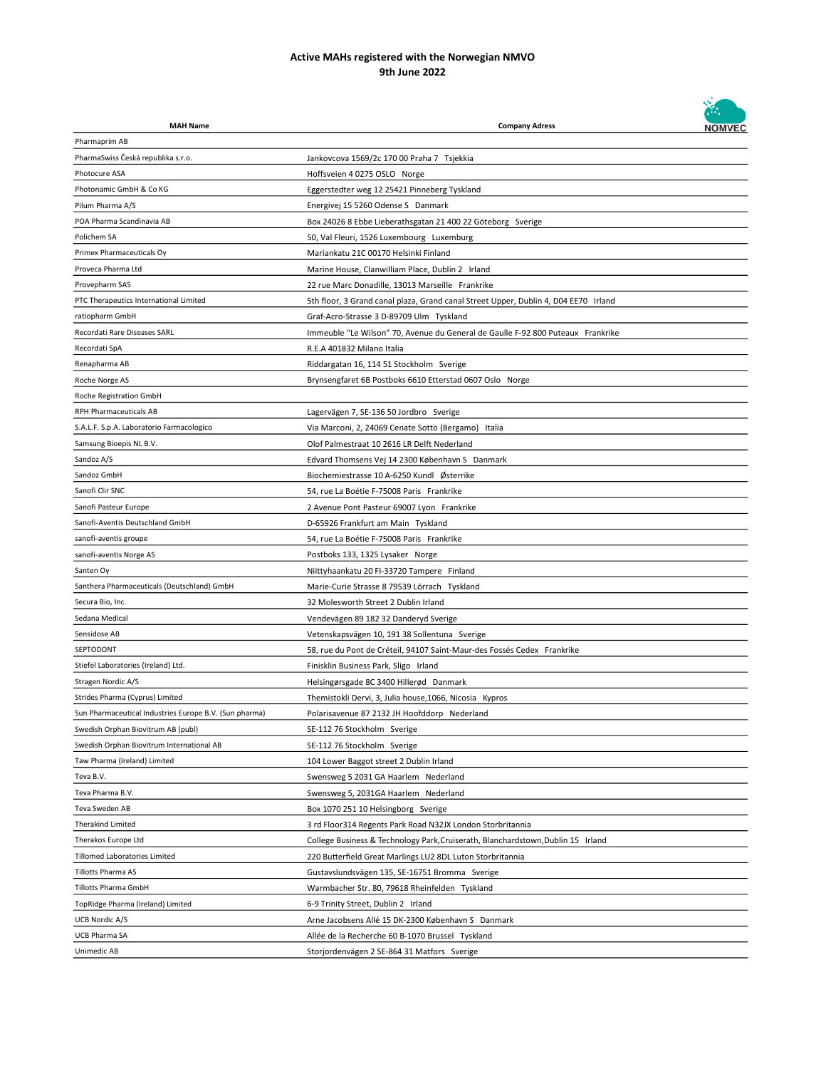

| <b>MAH Name</b>                                        | <b>Company Adress</b>                                                               | <b>NOMVEC</b> |
|--------------------------------------------------------|-------------------------------------------------------------------------------------|---------------|
| Pharmaprim AB                                          |                                                                                     |               |
| PharmaSwiss Česká republika s.r.o.                     | Jankovcova 1569/2c 170 00 Praha 7 Tsjekkia                                          |               |
| Photocure ASA                                          | Hoffsveien 4 0275 OSLO Norge                                                        |               |
| Photonamic GmbH & Co KG                                | Eggerstedter weg 12 25421 Pinneberg Tyskland                                        |               |
| Pilum Pharma A/S                                       | Energivej 15 5260 Odense S Danmark                                                  |               |
| POA Pharma Scandinavia AB                              | Box 24026 8 Ebbe Lieberathsgatan 21 400 22 Göteborg Sverige                         |               |
| Polichem SA                                            | 50, Val Fleuri, 1526 Luxembourg Luxemburg                                           |               |
| Primex Pharmaceuticals Oy                              | Mariankatu 21C 00170 Helsinki Finland                                               |               |
| Proveca Pharma Ltd                                     | Marine House, Clanwilliam Place, Dublin 2 Irland                                    |               |
| Provepharm SAS                                         | 22 rue Marc Donadille, 13013 Marseille Frankrike                                    |               |
| PTC Therapeutics International Limited                 | 5th floor, 3 Grand canal plaza, Grand canal Street Upper, Dublin 4, D04 EE70 Irland |               |
| ratiopharm GmbH                                        | Graf-Acro-Strasse 3 D-89709 Ulm Tyskland                                            |               |
| Recordati Rare Diseases SARL                           | Immeuble "Le Wilson" 70, Avenue du General de Gaulle F-92 800 Puteaux Frankrike     |               |
| Recordati SpA                                          | R.E.A 401832 Milano Italia                                                          |               |
| Renapharma AB                                          | Riddargatan 16, 114 51 Stockholm Sverige                                            |               |
| Roche Norge AS                                         | Brynsengfaret 6B Postboks 6610 Etterstad 0607 Oslo Norge                            |               |
| Roche Registration GmbH                                |                                                                                     |               |
| <b>RPH Pharmaceuticals AB</b>                          | Lagervägen 7, SE-136 50 Jordbro Sverige                                             |               |
| S.A.L.F. S.p.A. Laboratorio Farmacologico              | Via Marconi, 2, 24069 Cenate Sotto (Bergamo) Italia                                 |               |
| Samsung Bioepis NL B.V.                                | Olof Palmestraat 10 2616 LR Delft Nederland                                         |               |
| Sandoz A/S                                             | Edvard Thomsens Vej 14 2300 København S Danmark                                     |               |
| Sandoz GmbH                                            | Biochemiestrasse 10 A-6250 Kundl Østerrike                                          |               |
| Sanofi Clir SNC                                        | 54, rue La Boétie F-75008 Paris Frankrike                                           |               |
| Sanofi Pasteur Europe                                  | 2 Avenue Pont Pasteur 69007 Lyon Frankrike                                          |               |
| Sanofi-Aventis Deutschland GmbH                        | D-65926 Frankfurt am Main Tyskland                                                  |               |
| sanofi-aventis groupe                                  | 54, rue La Boétie F-75008 Paris Frankrike                                           |               |
| sanofi-aventis Norge AS                                | Postboks 133, 1325 Lysaker Norge                                                    |               |
| Santen Oy                                              | Niittyhaankatu 20 FI-33720 Tampere Finland                                          |               |
| Santhera Pharmaceuticals (Deutschland) GmbH            | Marie-Curie Strasse 8 79539 Lörrach Tyskland                                        |               |
| Secura Bio, Inc.                                       | 32 Molesworth Street 2 Dublin Irland                                                |               |
| Sedana Medical                                         | Vendevägen 89 182 32 Danderyd Sverige                                               |               |
| Sensidose AB                                           | Vetenskapsvägen 10, 191 38 Sollentuna Sverige                                       |               |
| SEPTODONT                                              | 58, rue du Pont de Créteil, 94107 Saint-Maur-des Fossés Cedex Frankrike             |               |
| Stiefel Laboratories (Ireland) Ltd.                    | Finisklin Business Park, Sligo Irland                                               |               |
| Stragen Nordic A/S                                     | Helsingørsgade 8C 3400 Hillerød Danmark                                             |               |
| Strides Pharma (Cyprus) Limited                        | Themistokli Dervi, 3, Julia house, 1066, Nicosia Kypros                             |               |
| Sun Pharmaceutical Industries Europe B.V. (Sun pharma) | Polarisavenue 87 2132 JH Hoofddorp Nederland                                        |               |
| Swedish Orphan Biovitrum AB (publ)                     | SE-112 76 Stockholm Sverige                                                         |               |
| Swedish Orphan Biovitrum International AB              | SE-112 76 Stockholm Sverige                                                         |               |
| Taw Pharma (Ireland) Limited                           | 104 Lower Baggot street 2 Dublin Irland                                             |               |
| Teva B.V.                                              | Swensweg 5 2031 GA Haarlem Nederland                                                |               |
| Teva Pharma B.V.                                       | Swensweg 5, 2031GA Haarlem Nederland                                                |               |
| Teva Sweden AB                                         | Box 1070 251 10 Helsingborg Sverige                                                 |               |
| Therakind Limited                                      | 3 rd Floor314 Regents Park Road N32JX London Storbritannia                          |               |
| Therakos Europe Ltd                                    | College Business & Technology Park, Cruiserath, Blanchardstown, Dublin 15 Irland    |               |
| <b>Tillomed Laboratories Limited</b>                   | 220 Butterfield Great Marlings LU2 8DL Luton Storbritannia                          |               |
| <b>Tillotts Pharma AS</b>                              | Gustavslundsvägen 135, SE-16751 Bromma Sverige                                      |               |
| Tillotts Pharma GmbH                                   | Warmbacher Str. 80, 79618 Rheinfelden Tyskland                                      |               |
| TopRidge Pharma (Ireland) Limited                      | 6-9 Trinity Street, Dublin 2 Irland                                                 |               |
| UCB Nordic A/S                                         | Arne Jacobsens Allé 15 DK-2300 København S Danmark                                  |               |
| UCB Pharma SA                                          | Allée de la Recherche 60 B-1070 Brussel Tyskland                                    |               |
| Unimedic AB                                            | Storjordenvägen 2 SE-864 31 Matfors Sverige                                         |               |
|                                                        |                                                                                     |               |